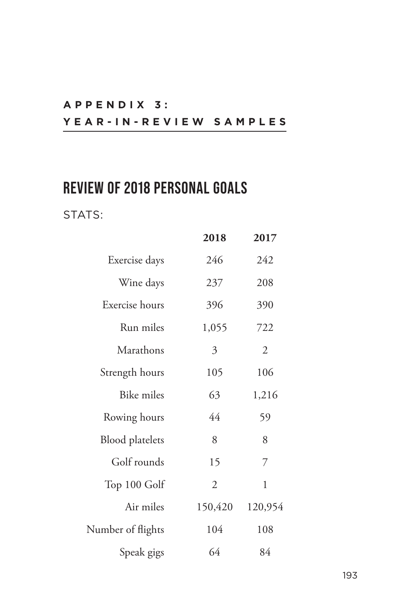# **A P P E N D I X 3 : YEAR-IN-REVIEW SAMPLES**

# **REVIEW OF 2018 PERSONAL GOALS**

### STATS:

|                        | 2018           | 2017           |
|------------------------|----------------|----------------|
| Exercise days          | 246            | 242            |
| Wine days              | 237            | 208            |
| Exercise hours         | 396            | 390            |
| Run miles              | 1,055          | 722            |
| Marathons              | 3              | $\mathfrak{2}$ |
| Strength hours         | 105            | 106            |
| <b>Bike miles</b>      | 63             | 1,216          |
| Rowing hours           | 44             | 59             |
| <b>Blood</b> platelets | 8              | 8              |
| Golf rounds            | 15             | 7              |
| Top 100 Golf           | $\overline{2}$ | $\mathbf{1}$   |
| Air miles              | 150,420        | 120,954        |
| Number of flights      | 104            | 108            |
| Speak gigs             | 64             | 84             |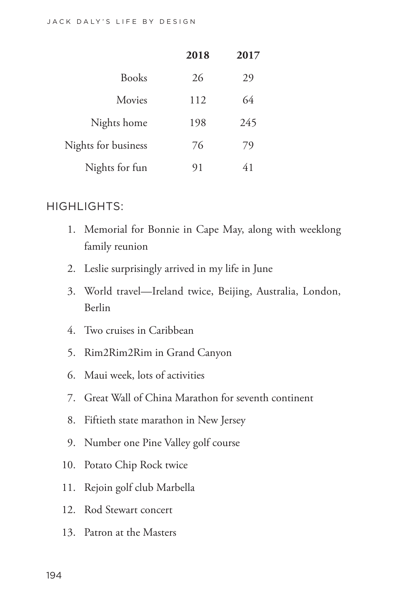|                     | 2018 | 2017 |
|---------------------|------|------|
| <b>Books</b>        | 26   | 29   |
| Movies              | 112  | 64   |
| Nights home         | 198  | 245  |
| Nights for business | 76   | 79   |
| Nights for fun      | 91   | 41   |

#### HIGHLIGHTS:

- 1. Memorial for Bonnie in Cape May, along with weeklong family reunion
- 2. Leslie surprisingly arrived in my life in June
- 3. World travel—Ireland twice, Beijing, Australia, London, Berlin
- 4. Two cruises in Caribbean
- 5. Rim2Rim2Rim in Grand Canyon
- 6. Maui week, lots of activities
- 7. Great Wall of China Marathon for seventh continent
- 8. Fiftieth state marathon in New Jersey
- 9. Number one Pine Valley golf course
- 10. Potato Chip Rock twice
- 11. Rejoin golf club Marbella
- 12. Rod Stewart concert
- 13. Patron at the Masters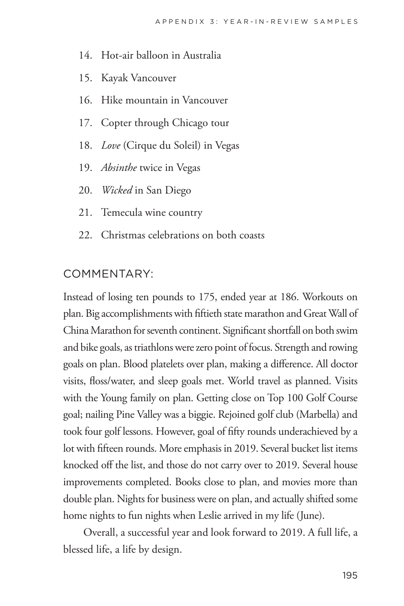- 14. Hot-air balloon in Australia
- 15. Kayak Vancouver
- 16. Hike mountain in Vancouver
- 17. Copter through Chicago tour
- 18. *Love* (Cirque du Soleil) in Vegas
- 19. *Absinthe* twice in Vegas
- 20. *Wicked* in San Diego
- 21. Temecula wine country
- 22. Christmas celebrations on both coasts

#### COMMENTARY:

Instead of losing ten pounds to 175, ended year at 186. Workouts on plan. Big accomplishments with fiftieth state marathon and Great Wall of China Marathon for seventh continent. Significant shortfall on both swim and bike goals, as triathlons were zero point of focus. Strength and rowing goals on plan. Blood platelets over plan, making a difference. All doctor visits, floss/water, and sleep goals met. World travel as planned. Visits with the Young family on plan. Getting close on Top 100 Golf Course goal; nailing Pine Valley was a biggie. Rejoined golf club (Marbella) and took four golf lessons. However, goal of fifty rounds underachieved by a lot with fifteen rounds. More emphasis in 2019. Several bucket list items knocked off the list, and those do not carry over to 2019. Several house improvements completed. Books close to plan, and movies more than double plan. Nights for business were on plan, and actually shifted some home nights to fun nights when Leslie arrived in my life (June).

Overall, a successful year and look forward to 2019. A full life, a blessed life, a life by design.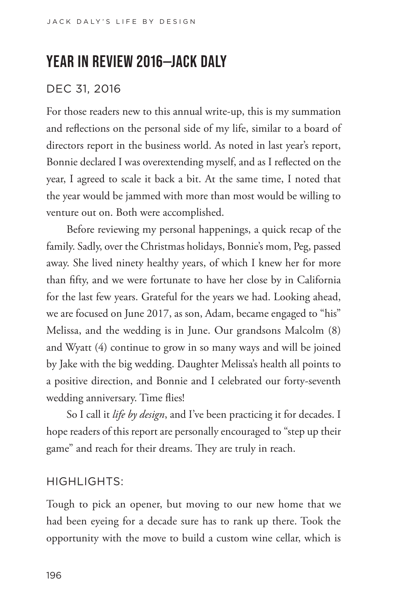# **YEAR IN REVIEW 2016—JACK DALY**

## DEC 31, 2016

For those readers new to this annual write-up, this is my summation and reflections on the personal side of my life, similar to a board of directors report in the business world. As noted in last year's report, Bonnie declared I was overextending myself, and as I reflected on the year, I agreed to scale it back a bit. At the same time, I noted that the year would be jammed with more than most would be willing to venture out on. Both were accomplished.

Before reviewing my personal happenings, a quick recap of the family. Sadly, over the Christmas holidays, Bonnie's mom, Peg, passed away. She lived ninety healthy years, of which I knew her for more than fifty, and we were fortunate to have her close by in California for the last few years. Grateful for the years we had. Looking ahead, we are focused on June 2017, as son, Adam, became engaged to "his" Melissa, and the wedding is in June. Our grandsons Malcolm (8) and Wyatt (4) continue to grow in so many ways and will be joined by Jake with the big wedding. Daughter Melissa's health all points to a positive direction, and Bonnie and I celebrated our forty-seventh wedding anniversary. Time flies!

So I call it *life by design*, and I've been practicing it for decades. I hope readers of this report are personally encouraged to "step up their game" and reach for their dreams. They are truly in reach.

#### HIGHLIGHTS:

Tough to pick an opener, but moving to our new home that we had been eyeing for a decade sure has to rank up there. Took the opportunity with the move to build a custom wine cellar, which is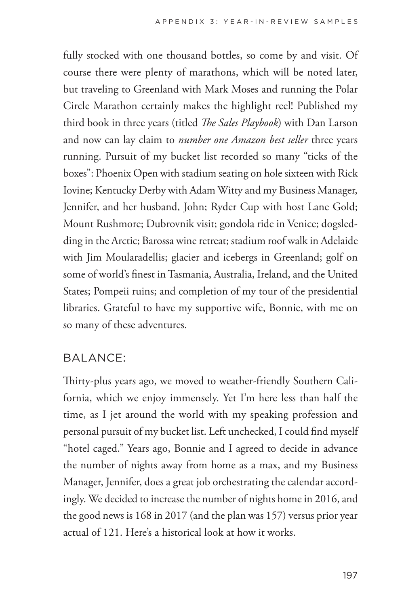fully stocked with one thousand bottles, so come by and visit. Of course there were plenty of marathons, which will be noted later, but traveling to Greenland with Mark Moses and running the Polar Circle Marathon certainly makes the highlight reel! Published my third book in three years (titled *The Sales Playbook*) with Dan Larson and now can lay claim to *number one Amazon best seller* three years running. Pursuit of my bucket list recorded so many "ticks of the boxes": Phoenix Open with stadium seating on hole sixteen with Rick Iovine; Kentucky Derby with Adam Witty and my Business Manager, Jennifer, and her husband, John; Ryder Cup with host Lane Gold; Mount Rushmore; Dubrovnik visit; gondola ride in Venice; dogsledding in the Arctic; Barossa wine retreat; stadium roof walk in Adelaide with Jim Moularadellis; glacier and icebergs in Greenland; golf on some of world's finest in Tasmania, Australia, Ireland, and the United States; Pompeii ruins; and completion of my tour of the presidential libraries. Grateful to have my supportive wife, Bonnie, with me on so many of these adventures.

### BALANCE:

Thirty-plus years ago, we moved to weather-friendly Southern California, which we enjoy immensely. Yet I'm here less than half the time, as I jet around the world with my speaking profession and personal pursuit of my bucket list. Left unchecked, I could find myself "hotel caged." Years ago, Bonnie and I agreed to decide in advance the number of nights away from home as a max, and my Business Manager, Jennifer, does a great job orchestrating the calendar accordingly. We decided to increase the number of nights home in 2016, and the good news is 168 in 2017 (and the plan was 157) versus prior year actual of 121. Here's a historical look at how it works.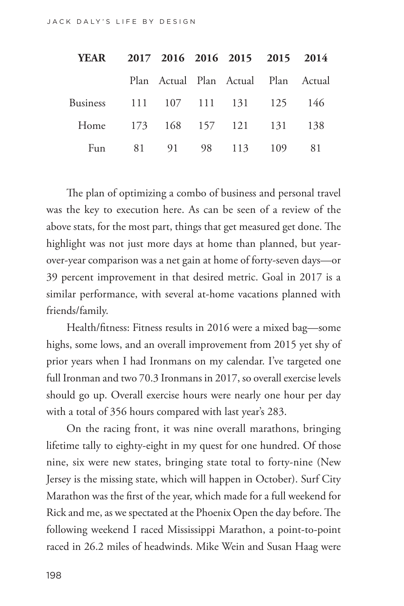| <b>YEAR</b>                      |  | 2017 2016 2016 2015 2015 2014       |  |
|----------------------------------|--|-------------------------------------|--|
|                                  |  | Plan Actual Plan Actual Plan Actual |  |
| Business 111 107 111 131 125 146 |  |                                     |  |
| Home 173 168 157 121 131 138     |  |                                     |  |
|                                  |  | Fun 81 91 98 113 109 81             |  |

The plan of optimizing a combo of business and personal travel was the key to execution here. As can be seen of a review of the above stats, for the most part, things that get measured get done. The highlight was not just more days at home than planned, but yearover-year comparison was a net gain at home of forty-seven days—or 39 percent improvement in that desired metric. Goal in 2017 is a similar performance, with several at-home vacations planned with friends/family.

Health/fitness: Fitness results in 2016 were a mixed bag—some highs, some lows, and an overall improvement from 2015 yet shy of prior years when I had Ironmans on my calendar. I've targeted one full Ironman and two 70.3 Ironmans in 2017, so overall exercise levels should go up. Overall exercise hours were nearly one hour per day with a total of 356 hours compared with last year's 283.

On the racing front, it was nine overall marathons, bringing lifetime tally to eighty-eight in my quest for one hundred. Of those nine, six were new states, bringing state total to forty-nine (New Jersey is the missing state, which will happen in October). Surf City Marathon was the first of the year, which made for a full weekend for Rick and me, as we spectated at the Phoenix Open the day before. The following weekend I raced Mississippi Marathon, a point-to-point raced in 26.2 miles of headwinds. Mike Wein and Susan Haag were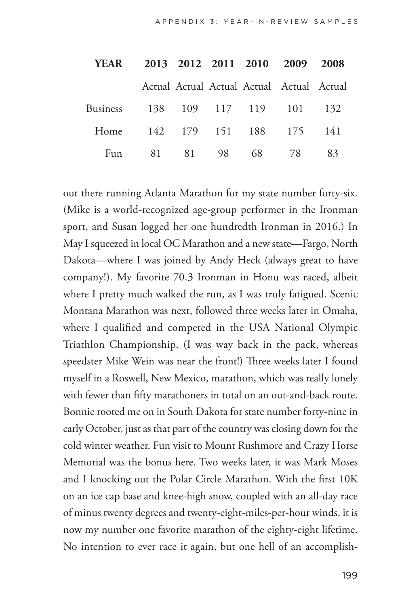| <b>YEAR</b>                      |  |  | 2013 2012 2011 2010 2009 2008             |     |
|----------------------------------|--|--|-------------------------------------------|-----|
|                                  |  |  | Actual Actual Actual Actual Actual Actual |     |
| Business 138 109 117 119 101 132 |  |  |                                           |     |
| Home 142 179 151 188 175 141     |  |  |                                           |     |
| Fun                              |  |  | 81 81 98 68 78                            | -83 |

out there running Atlanta Marathon for my state number forty-six. (Mike is a world-recognized age-group performer in the Ironman sport, and Susan logged her one hundredth Ironman in 2016.) In May I squeezed in local OC Marathon and a new state—Fargo, North Dakota—where I was joined by Andy Heck (always great to have company!). My favorite 70.3 Ironman in Honu was raced, albeit where I pretty much walked the run, as I was truly fatigued. Scenic Montana Marathon was next, followed three weeks later in Omaha, where I qualified and competed in the USA National Olympic Triathlon Championship. (I was way back in the pack, whereas speedster Mike Wein was near the front!) Three weeks later I found myself in a Roswell, New Mexico, marathon, which was really lonely with fewer than fifty marathoners in total on an out-and-back route. Bonnie rooted me on in South Dakota for state number forty-nine in early October, just as that part of the country was closing down for the cold winter weather. Fun visit to Mount Rushmore and Crazy Horse Memorial was the bonus here. Two weeks later, it was Mark Moses and I knocking out the Polar Circle Marathon. With the first 10K on an ice cap base and knee-high snow, coupled with an all-day race of minus twenty degrees and twenty-eight-miles-per-hour winds, it is now my number one favorite marathon of the eighty-eight lifetime. No intention to ever race it again, but one hell of an accomplish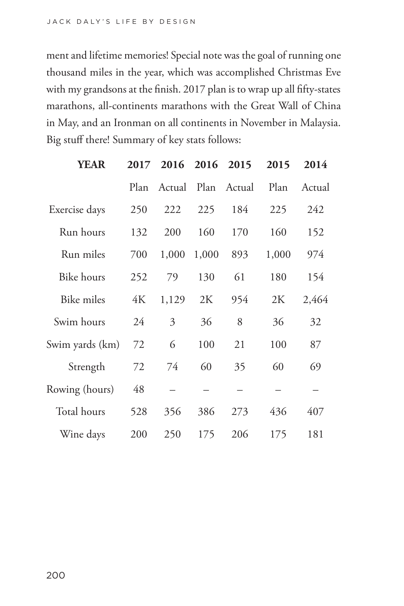ment and lifetime memories! Special note was the goal of running one thousand miles in the year, which was accomplished Christmas Eve with my grandsons at the finish. 2017 plan is to wrap up all fifty-states marathons, all-continents marathons with the Great Wall of China in May, and an Ironman on all continents in November in Malaysia. Big stuff there! Summary of key stats follows:

| <b>YEAR</b>       | 2017 |        | 2016 2016 2015 |             | 2015  | 2014   |  |
|-------------------|------|--------|----------------|-------------|-------|--------|--|
|                   | Plan | Actual |                | Plan Actual | Plan  | Actual |  |
| Exercise days     | 250  | 222    | 225            | 184         | 225   | 242    |  |
| Run hours         | 132  | 200    | 160            | 170         | 160   | 152    |  |
| Run miles         | 700  | 1,000  | 1,000          | 893         | 1,000 | 974    |  |
| <b>Bike</b> hours | 252  | 79     | 130            | 61          | 180   | 154    |  |
| Bike miles        | 4K   | 1,129  | 2K             | 954         | 2K    | 2,464  |  |
| Swim hours        | 24   | 3      | 36             | 8           | 36    | 32     |  |
| Swim yards (km)   | 72   | 6      | 100            | 21          | 100   | 87     |  |
| Strength          | 72   | 74     | 60             | 35          | 60    | 69     |  |
| Rowing (hours)    | 48   |        |                |             |       |        |  |
| Total hours       | 528  | 356    | 386            | 273         | 436   | 407    |  |
| Wine days         | 200  | 250    | 175            | 206         | 175   | 181    |  |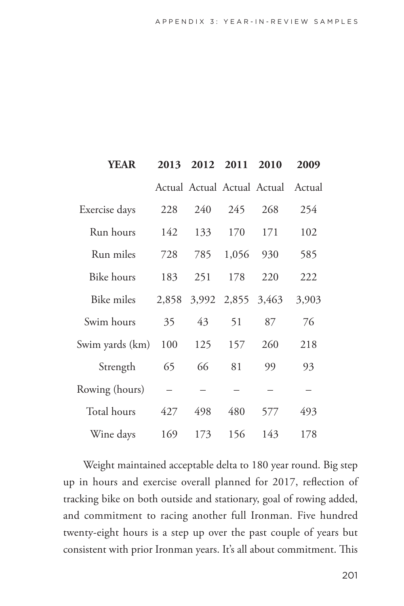| YEAR              | 2013  |     | 2012 2011         | 2010                               | 2009  |
|-------------------|-------|-----|-------------------|------------------------------------|-------|
|                   |       |     |                   | Actual Actual Actual Actual Actual |       |
| Exercise days     | 228   | 240 | 245               | 268                                | 254   |
| Run hours         | 142   | 133 | 170               | 171                                | 102   |
| Run miles         | 728   | 785 | 1,056             | 930                                | 585   |
| Bike hours        | 183   | 251 | 178               | 220                                | 222   |
| <b>Bike miles</b> | 2,858 |     | 3,992 2,855 3,463 |                                    | 3,903 |
| Swim hours        | 35    | 43  | 51                | 87                                 | 76    |
| Swim yards (km)   | 100   | 125 | 157               | 260                                | 218   |
| Strength          | 65    | 66  | 81                | 99                                 | 93    |
| Rowing (hours)    |       |     |                   |                                    |       |
| Total hours       | 427   | 498 | 480               | 577                                | 493   |
| Wine days         | 169   | 173 | 156               | 143                                | 178   |

Weight maintained acceptable delta to 180 year round. Big step up in hours and exercise overall planned for 2017, reflection of tracking bike on both outside and stationary, goal of rowing added, and commitment to racing another full Ironman. Five hundred twenty-eight hours is a step up over the past couple of years but consistent with prior Ironman years. It's all about commitment. This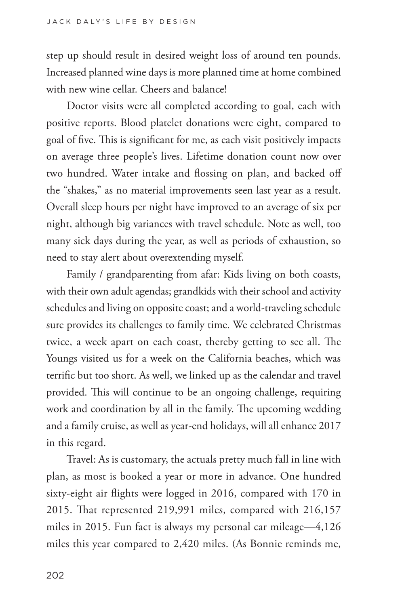step up should result in desired weight loss of around ten pounds. Increased planned wine days is more planned time at home combined with new wine cellar. Cheers and balance!

Doctor visits were all completed according to goal, each with positive reports. Blood platelet donations were eight, compared to goal of five. This is significant for me, as each visit positively impacts on average three people's lives. Lifetime donation count now over two hundred. Water intake and flossing on plan, and backed off the "shakes," as no material improvements seen last year as a result. Overall sleep hours per night have improved to an average of six per night, although big variances with travel schedule. Note as well, too many sick days during the year, as well as periods of exhaustion, so need to stay alert about overextending myself.

Family / grandparenting from afar: Kids living on both coasts, with their own adult agendas; grandkids with their school and activity schedules and living on opposite coast; and a world-traveling schedule sure provides its challenges to family time. We celebrated Christmas twice, a week apart on each coast, thereby getting to see all. The Youngs visited us for a week on the California beaches, which was terrific but too short. As well, we linked up as the calendar and travel provided. This will continue to be an ongoing challenge, requiring work and coordination by all in the family. The upcoming wedding and a family cruise, as well as year-end holidays, will all enhance 2017 in this regard.

Travel: As is customary, the actuals pretty much fall in line with plan, as most is booked a year or more in advance. One hundred sixty-eight air flights were logged in 2016, compared with 170 in 2015. That represented 219,991 miles, compared with 216,157 miles in 2015. Fun fact is always my personal car mileage—4,126 miles this year compared to 2,420 miles. (As Bonnie reminds me,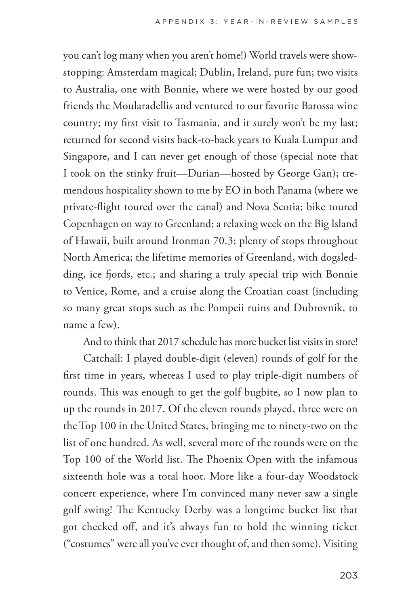you can't log many when you aren't home!) World travels were showstopping: Amsterdam magical; Dublin, Ireland, pure fun; two visits to Australia, one with Bonnie, where we were hosted by our good friends the Moularadellis and ventured to our favorite Barossa wine country; my first visit to Tasmania, and it surely won't be my last; returned for second visits back-to-back years to Kuala Lumpur and Singapore, and I can never get enough of those (special note that I took on the stinky fruit—Durian—hosted by George Gan); tremendous hospitality shown to me by EO in both Panama (where we private-flight toured over the canal) and Nova Scotia; bike toured Copenhagen on way to Greenland; a relaxing week on the Big Island of Hawaii, built around Ironman 70.3; plenty of stops throughout North America; the lifetime memories of Greenland, with dogsledding, ice fjords, etc.; and sharing a truly special trip with Bonnie to Venice, Rome, and a cruise along the Croatian coast (including so many great stops such as the Pompeii ruins and Dubrovnik, to name a few).

And to think that 2017 schedule has more bucket list visits in store!

Catchall: I played double-digit (eleven) rounds of golf for the first time in years, whereas I used to play triple-digit numbers of rounds. This was enough to get the golf bugbite, so I now plan to up the rounds in 2017. Of the eleven rounds played, three were on the Top 100 in the United States, bringing me to ninety-two on the list of one hundred. As well, several more of the rounds were on the Top 100 of the World list. The Phoenix Open with the infamous sixteenth hole was a total hoot. More like a four-day Woodstock concert experience, where I'm convinced many never saw a single golf swing! The Kentucky Derby was a longtime bucket list that got checked off, and it's always fun to hold the winning ticket ("costumes" were all you've ever thought of, and then some). Visiting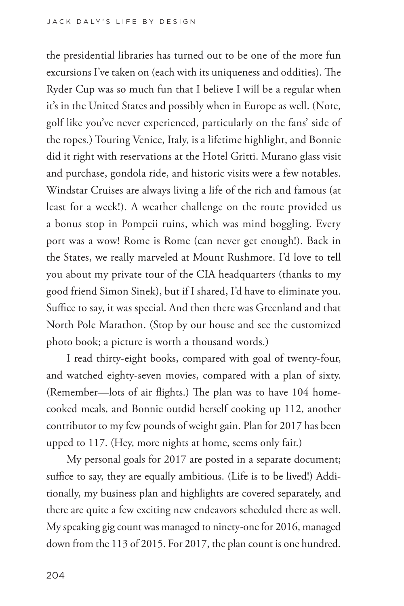the presidential libraries has turned out to be one of the more fun excursions I've taken on (each with its uniqueness and oddities). The Ryder Cup was so much fun that I believe I will be a regular when it's in the United States and possibly when in Europe as well. (Note, golf like you've never experienced, particularly on the fans' side of the ropes.) Touring Venice, Italy, is a lifetime highlight, and Bonnie did it right with reservations at the Hotel Gritti. Murano glass visit and purchase, gondola ride, and historic visits were a few notables. Windstar Cruises are always living a life of the rich and famous (at least for a week!). A weather challenge on the route provided us a bonus stop in Pompeii ruins, which was mind boggling. Every port was a wow! Rome is Rome (can never get enough!). Back in the States, we really marveled at Mount Rushmore. I'd love to tell you about my private tour of the CIA headquarters (thanks to my good friend Simon Sinek), but if I shared, I'd have to eliminate you. Suffice to say, it was special. And then there was Greenland and that North Pole Marathon. (Stop by our house and see the customized photo book; a picture is worth a thousand words.)

I read thirty-eight books, compared with goal of twenty-four, and watched eighty-seven movies, compared with a plan of sixty. (Remember—lots of air flights.) The plan was to have 104 homecooked meals, and Bonnie outdid herself cooking up 112, another contributor to my few pounds of weight gain. Plan for 2017 has been upped to 117. (Hey, more nights at home, seems only fair.)

My personal goals for 2017 are posted in a separate document; suffice to say, they are equally ambitious. (Life is to be lived!) Additionally, my business plan and highlights are covered separately, and there are quite a few exciting new endeavors scheduled there as well. My speaking gig count was managed to ninety-one for 2016, managed down from the 113 of 2015. For 2017, the plan count is one hundred.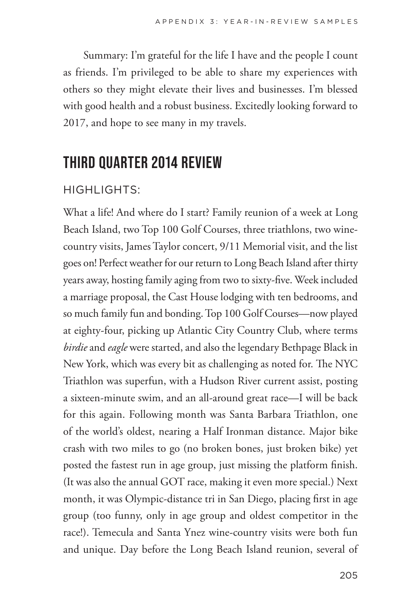Summary: I'm grateful for the life I have and the people I count as friends. I'm privileged to be able to share my experiences with others so they might elevate their lives and businesses. I'm blessed with good health and a robust business. Excitedly looking forward to 2017, and hope to see many in my travels.

# **THIRD QUARTER 2014 REVIEW**

### HIGHLIGHTS:

What a life! And where do I start? Family reunion of a week at Long Beach Island, two Top 100 Golf Courses, three triathlons, two winecountry visits, James Taylor concert, 9/11 Memorial visit, and the list goes on! Perfect weather for our return to Long Beach Island after thirty years away, hosting family aging from two to sixty-five. Week included a marriage proposal, the Cast House lodging with ten bedrooms, and so much family fun and bonding. Top 100 Golf Courses—now played at eighty-four, picking up Atlantic City Country Club, where terms *birdie* and *eagle* were started, and also the legendary Bethpage Black in New York, which was every bit as challenging as noted for. The NYC Triathlon was superfun, with a Hudson River current assist, posting a sixteen-minute swim, and an all-around great race—I will be back for this again. Following month was Santa Barbara Triathlon, one of the world's oldest, nearing a Half Ironman distance. Major bike crash with two miles to go (no broken bones, just broken bike) yet posted the fastest run in age group, just missing the platform finish. (It was also the annual GOT race, making it even more special.) Next month, it was Olympic-distance tri in San Diego, placing first in age group (too funny, only in age group and oldest competitor in the race!). Temecula and Santa Ynez wine-country visits were both fun and unique. Day before the Long Beach Island reunion, several of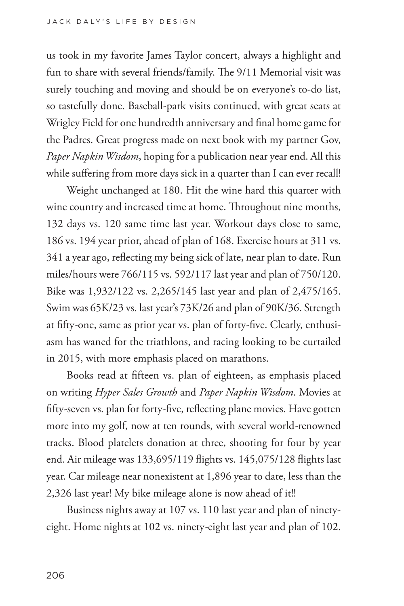us took in my favorite James Taylor concert, always a highlight and fun to share with several friends/family. The 9/11 Memorial visit was surely touching and moving and should be on everyone's to-do list, so tastefully done. Baseball-park visits continued, with great seats at Wrigley Field for one hundredth anniversary and final home game for the Padres. Great progress made on next book with my partner Gov, *Paper Napkin Wisdom*, hoping for a publication near year end. All this while suffering from more days sick in a quarter than I can ever recall!

Weight unchanged at 180. Hit the wine hard this quarter with wine country and increased time at home. Throughout nine months, 132 days vs. 120 same time last year. Workout days close to same, 186 vs. 194 year prior, ahead of plan of 168. Exercise hours at 311 vs. 341 a year ago, reflecting my being sick of late, near plan to date. Run miles/hours were 766/115 vs. 592/117 last year and plan of 750/120. Bike was 1,932/122 vs. 2,265/145 last year and plan of 2,475/165. Swim was 65K/23 vs. last year's 73K/26 and plan of 90K/36. Strength at fifty-one, same as prior year vs. plan of forty-five. Clearly, enthusiasm has waned for the triathlons, and racing looking to be curtailed in 2015, with more emphasis placed on marathons.

Books read at fifteen vs. plan of eighteen, as emphasis placed on writing *Hyper Sales Growth* and *Paper Napkin Wisdom*. Movies at fifty-seven vs. plan for forty-five, reflecting plane movies. Have gotten more into my golf, now at ten rounds, with several world-renowned tracks. Blood platelets donation at three, shooting for four by year end. Air mileage was 133,695/119 flights vs. 145,075/128 flights last year. Car mileage near nonexistent at 1,896 year to date, less than the 2,326 last year! My bike mileage alone is now ahead of it!!

Business nights away at 107 vs. 110 last year and plan of ninetyeight. Home nights at 102 vs. ninety-eight last year and plan of 102.